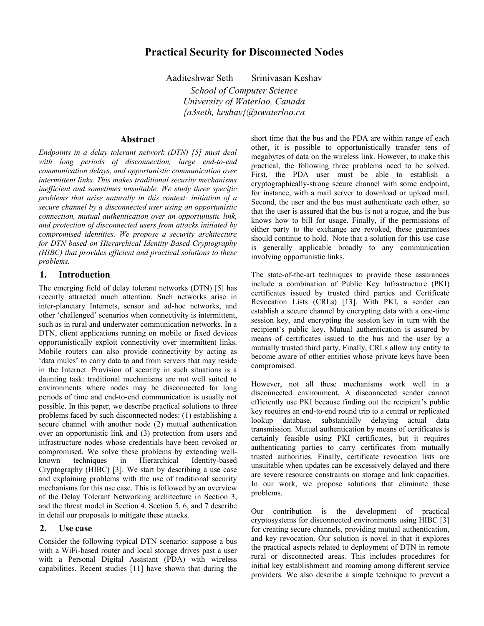# **Practical Security for Disconnected Nodes**

Aaditeshwar Seth Srinivasan Keshav

*School of Computer Science University of Waterloo, Canada {a3seth, keshav}@uwaterloo.ca*

## **Abstract**

*Endpoints in a delay tolerant network (DTN) [5] must deal with long periods of disconnection, large end-to-end communication delays, and opportunistic communication over intermittent links. This makes traditional security mechanisms inefficient and sometimes unsuitable. We study three specific problems that arise naturally in this context: initiation of a secure channel by a disconnected user using an opportunistic connection, mutual authentication over an opportunistic link, and protection of disconnected users from attacks initiated by compromised identities. We propose a security architecture for DTN based on Hierarchical Identity Based Cryptography (HIBC) that provides efficient and practical solutions to these problems.*

### **1. Introduction**

The emerging field of delay tolerant networks (DTN) [5] has recently attracted much attention. Such networks arise in inter-planetary Internets, sensor and ad-hoc networks, and other 'challenged' scenarios when connectivity is intermittent, such as in rural and underwater communication networks. In a DTN, client applications running on mobile or fixed devices opportunistically exploit connectivity over intermittent links. Mobile routers can also provide connectivity by acting as 'data mules' to carry data to and from servers that may reside in the Internet. Provision of security in such situations is a daunting task: traditional mechanisms are not well suited to environments where nodes may be disconnected for long periods of time and end-to-end communication is usually not possible. In this paper, we describe practical solutions to three problems faced by such disconnected nodes: (1) establishing a secure channel with another node (2) mutual authentication over an opportunistic link and (3) protection from users and infrastructure nodes whose credentials have been revoked or compromised. We solve these problems by extending wellknown techniques in Hierarchical Identity-based Cryptography (HIBC) [3]. We start by describing a use case and explaining problems with the use of traditional security mechanisms for this use case. This is followed by an overview of the Delay Tolerant Networking architecture in Section 3, and the threat model in Section 4. Section 5, 6, and 7 describe in detail our proposals to mitigate these attacks.

#### **2. Use case**

Consider the following typical DTN scenario: suppose a bus with a WiFi-based router and local storage drives past a user with a Personal Digital Assistant (PDA) with wireless capabilities. Recent studies [11] have shown that during the

short time that the bus and the PDA are within range of each other, it is possible to opportunistically transfer tens of megabytes of data on the wireless link. However, to make this practical, the following three problems need to be solved. First, the PDA user must be able to establish a cryptographically-strong secure channel with some endpoint, for instance, with a mail server to download or upload mail. Second, the user and the bus must authenticate each other, so that the user is assured that the bus is not a rogue, and the bus knows how to bill for usage. Finally, if the permissions of either party to the exchange are revoked, these guarantees should continue to hold. Note that a solution for this use case is generally applicable broadly to any communication involving opportunistic links.

The state-of-the-art techniques to provide these assurances include a combination of Public Key Infrastructure (PKI) certificates issued by trusted third parties and Certificate Revocation Lists (CRLs) [13]. With PKI, a sender can establish a secure channel by encrypting data with a one-time session key, and encrypting the session key in turn with the recipient's public key. Mutual authentication is assured by means of certificates issued to the bus and the user by a mutually trusted third party. Finally, CRLs allow any entity to become aware of other entities whose private keys have been compromised.

However, not all these mechanisms work well in a disconnected environment. A disconnected sender cannot efficiently use PKI because finding out the recipient's public key requires an end-to-end round trip to a central or replicated lookup database, substantially delaying actual data transmission. Mutual authentication by means of certificates is certainly feasible using PKI certificates, but it requires authenticating parties to carry certificates from mutually trusted authorities. Finally, certificate revocation lists are unsuitable when updates can be excessively delayed and there are severe resource constraints on storage and link capacities. In our work, we propose solutions that eliminate these problems.

Our contribution is the development of practical cryptosystems for disconnected environments using HIBC [3] for creating secure channels, providing mutual authentication, and key revocation. Our solution is novel in that it explores the practical aspects related to deployment of DTN in remote rural or disconnected areas. This includes procedures for initial key establishment and roaming among different service providers. We also describe a simple technique to prevent a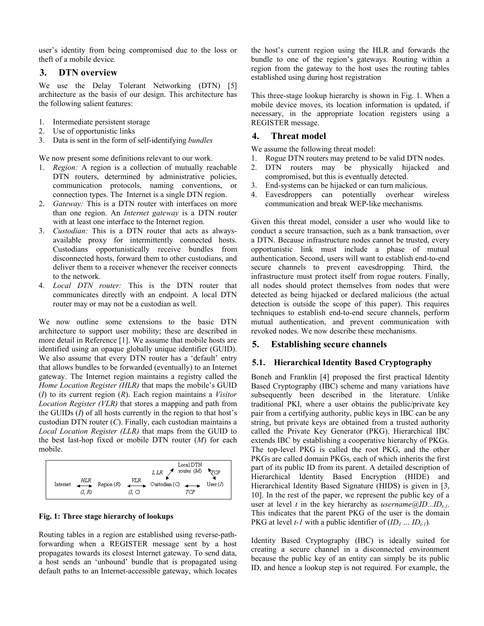user's identity from being compromised due to the loss or theft of a mobile device.

# **3. DTN overview**

We use the Delay Tolerant Networking (DTN) [5] architecture as the basis of our design. This architecture has the following salient features:

- 1. Intermediate persistent storage
- 2. Use of opportunistic links
- 3. Data is sent in the form of self-identifying *bundles*

We now present some definitions relevant to our work.

- 1. *Region:* A region is a collection of mutually reachable DTN routers, determined by administrative policies, communication protocols, naming conventions, or connection types. The Internet is a single DTN region.
- 2. *Gateway:* This is a DTN router with interfaces on more than one region. An *Internet gateway* is a DTN router with at least one interface to the Internet region.
- 3. *Custodian:* This is a DTN router that acts as alwaysavailable proxy for intermittently connected hosts. Custodians opportunistically receive bundles from disconnected hosts, forward them to other custodians, and deliver them to a receiver whenever the receiver connects to the network.
- 4. *Local DTN router:* This is the DTN router that communicates directly with an endpoint. A local DTN router may or may not be a custodian as well.

We now outline some extensions to the basic DTN architecture to support user mobility; these are described in more detail in Reference [1]. We assume that mobile hosts are identified using an opaque globally unique identifier (GUID). We also assume that every DTN router has a 'default' entry that allows bundles to be forwarded (eventually) to an Internet gateway. The Internet region maintains a registry called the *Home Location Register (HLR)* that maps the mobile's GUID (*I*) to its current region (*R*). Each region maintains a *Visitor Location Register (VLR)* that stores a mapping and path from the GUIDs (*I*) of all hosts currently in the region to that host's custodian DTN router (*C*). Finally, each custodian maintains a *Local Location Register (LLR)* that maps from the GUID to the best last-hop fixed or mobile DTN router (*M*) for each mobile.



#### **Fig. 1: Three stage hierarchy of lookups**

Routing tables in a region are established using reverse-pathforwarding when a REGISTER message sent by a host propagates towards its closest Internet gateway. To send data, a host sends an 'unbound' bundle that is propagated using default paths to an Internet-accessible gateway, which locates the host's current region using the HLR and forwards the bundle to one of the region's gateways. Routing within a region from the gateway to the host uses the routing tables established using during host registration

This three-stage lookup hierarchy is shown in Fig. 1. When a mobile device moves, its location information is updated, if necessary, in the appropriate location registers using a REGISTER message.

## **4. Threat model**

We assume the following threat model:

- 1. Rogue DTN routers may pretend to be valid DTN nodes.
- 2. DTN routers may be physically hijacked and compromised, but this is eventually detected.
- 3. End-systems can be hijacked or can turn malicious.
- 4. Eavesdroppers can potentially overhear wireless communication and break WEP-like mechanisms.

Given this threat model, consider a user who would like to conduct a secure transaction, such as a bank transaction, over a DTN. Because infrastructure nodes cannot be trusted, every opportunistic link must include a phase of mutual authentication. Second, users will want to establish end-to-end secure channels to prevent eavesdropping. Third, the infrastructure must protect itself from rogue routers. Finally, all nodes should protect themselves from nodes that were detected as being hijacked or declared malicious (the actual detection is outside the scope of this paper). This requires techniques to establish end-to-end secure channels, perform mutual authentication, and prevent communication with revoked nodes. We now describe these mechanisms.

# **5. Establishing secure channels**

## **5.1. Hierarchical Identity Based Cryptography**

Boneh and Franklin [4] proposed the first practical Identity Based Cryptography (IBC) scheme and many variations have subsequently been described in the literature. Unlike traditional PKI, where a user obtains the public/private key pair from a certifying authority, public keys in IBC can be any string, but private keys are obtained from a trusted authority called the Private Key Generator (PKG). Hierarchical IBC extends IBC by establishing a cooperative hierarchy of PKGs. The top-level PKG is called the root PKG, and the other PKGs are called domain PKGs, each of which inherits the first part of its public ID from its parent. A detailed description of Hierarchical Identity Based Encryption (HIDE) and Hierarchical Identity Based Signature (HIDS) is given in [3, 10]. In the rest of the paper, we represent the public key of a user at level *t* in the key hierarchy as *username* $@ID...ID<sub>t-1</sub>$ . This indicates that the parent PKG of the user is the domain PKG at level *t-1* with a public identifier of  $(ID_1 ... ID_{t-1})$ .

Identity Based Cryptography (IBC) is ideally suited for creating a secure channel in a disconnected environment because the public key of an entity can simply be its public ID, and hence a lookup step is not required. For example, the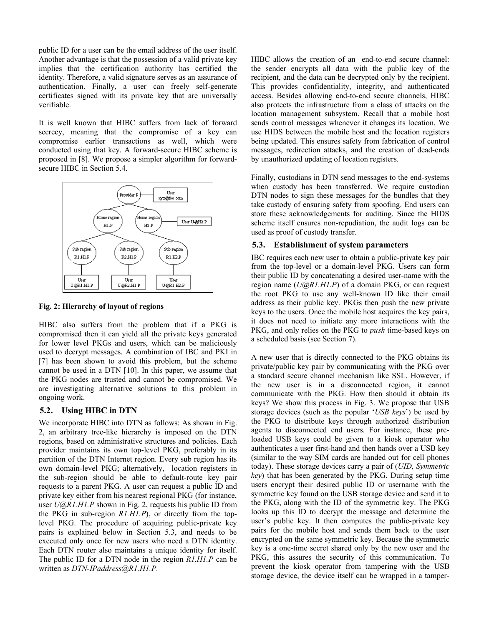public ID for a user can be the email address of the user itself. Another advantage is that the possession of a valid private key implies that the certification authority has certified the identity. Therefore, a valid signature serves as an assurance of authentication. Finally, a user can freely self-generate certificates signed with its private key that are universally verifiable.

It is well known that HIBC suffers from lack of forward secrecy, meaning that the compromise of a key can compromise earlier transactions as well, which were conducted using that key. A forward-secure HIBC scheme is proposed in [8]. We propose a simpler algorithm for forwardsecure HIBC in Section 5.4.



**Fig. 2: Hierarchy of layout of regions**

HIBC also suffers from the problem that if a PKG is compromised then it can yield all the private keys generated for lower level PKGs and users, which can be maliciously used to decrypt messages. A combination of IBC and PKI in [7] has been shown to avoid this problem, but the scheme cannot be used in a DTN [10]. In this paper, we assume that the PKG nodes are trusted and cannot be compromised. We are investigating alternative solutions to this problem in ongoing work.

# **5.2. Using HIBC in DTN**

We incorporate HIBC into DTN as follows: As shown in Fig. 2, an arbitrary tree-like hierarchy is imposed on the DTN regions, based on administrative structures and policies. Each provider maintains its own top-level PKG, preferably in its partition of the DTN Internet region. Every sub region has its own domain-level PKG; alternatively, location registers in the sub-region should be able to default-route key pair requests to a parent PKG. A user can request a public ID and private key either from his nearest regional PKG (for instance, user *U*@R1.H1.P shown in Fig. 2, requests his public ID from the PKG in sub-region *R1.H1.P*), or directly from the toplevel PKG. The procedure of acquiring public-private key pairs is explained below in Section 5.3, and needs to be executed only once for new users who need a DTN identity. Each DTN router also maintains a unique identity for itself. The public ID for a DTN node in the region *R1.H1.P* can be written as *DTN-IPaddress@R1.H1.P.*

HIBC allows the creation of an end-to-end secure channel: the sender encrypts all data with the public key of the recipient, and the data can be decrypted only by the recipient. This provides confidentiality, integrity, and authenticated access. Besides allowing end-to-end secure channels, HIBC also protects the infrastructure from a class of attacks on the location management subsystem. Recall that a mobile host sends control messages whenever it changes its location. We use HIDS between the mobile host and the location registers being updated. This ensures safety from fabrication of control messages, redirection attacks, and the creation of dead-ends by unauthorized updating of location registers.

Finally, custodians in DTN send messages to the end-systems when custody has been transferred. We require custodian DTN nodes to sign these messages for the bundles that they take custody of ensuring safety from spoofing. End users can store these acknowledgements for auditing. Since the HIDS scheme itself ensures non-repudiation, the audit logs can be used as proof of custody transfer.

# **5.3. Establishment of system parameters**

IBC requires each new user to obtain a public-private key pair from the top-level or a domain-level PKG. Users can form their public ID by concatenating a desired user-name with the region name (*U@R1.H1.P*) of a domain PKG, or can request the root PKG to use any well-known ID like their email address as their public key. PKGs then push the new private keys to the users. Once the mobile host acquires the key pairs, it does not need to initiate any more interactions with the PKG, and only relies on the PKG to *push* time-based keys on a scheduled basis (see Section 7).

A new user that is directly connected to the PKG obtains its private/public key pair by communicating with the PKG over a standard secure channel mechanism like SSL. However, if the new user is in a disconnected region, it cannot communicate with the PKG. How then should it obtain its keys? We show this process in Fig. 3. We propose that USB storage devices (such as the popular '*USB keys*') be used by the PKG to distribute keys through authorized distribution agents to disconnected end users. For instance, these preloaded USB keys could be given to a kiosk operator who authenticates a user first-hand and then hands over a USB key (similar to the way SIM cards are handed out for cell phones today). These storage devices carry a pair of (*UID, Symmetric key*) that has been generated by the PKG. During setup time users encrypt their desired public ID or username with the symmetric key found on the USB storage device and send it to the PKG, along with the ID of the symmetric key. The PKG looks up this ID to decrypt the message and determine the user's public key. It then computes the public-private key pairs for the mobile host and sends them back to the user encrypted on the same symmetric key. Because the symmetric key is a one-time secret shared only by the new user and the PKG, this assures the security of this communication. To prevent the kiosk operator from tampering with the USB storage device, the device itself can be wrapped in a tamper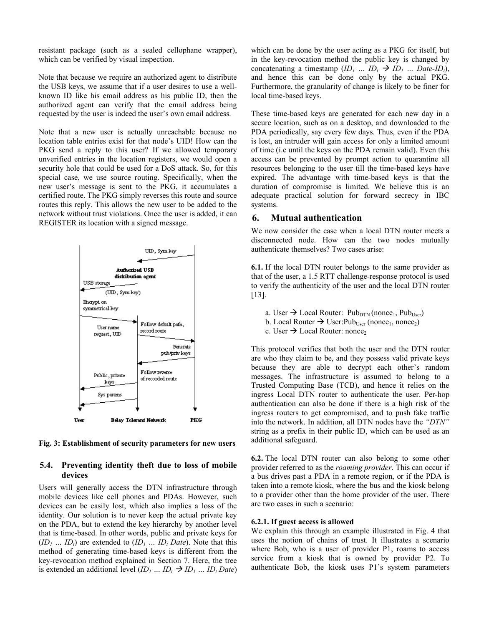resistant package (such as a sealed cellophane wrapper), which can be verified by visual inspection.

Note that because we require an authorized agent to distribute the USB keys, we assume that if a user desires to use a wellknown ID like his email address as his public ID, then the authorized agent can verify that the email address being requested by the user is indeed the user's own email address.

Note that a new user is actually unreachable because no location table entries exist for that node's UID! How can the PKG send a reply to this user? If we allowed temporary unverified entries in the location registers, we would open a security hole that could be used for a DoS attack. So, for this special case, we use source routing. Specifically, when the new user's message is sent to the PKG, it accumulates a certified route. The PKG simply reverses this route and source routes this reply. This allows the new user to be added to the network without trust violations. Once the user is added, it can REGISTER its location with a signed message.



**Fig. 3: Establishment of security parameters for new users**

## **5.4. Preventing identity theft due to loss of mobile devices**

Users will generally access the DTN infrastructure through mobile devices like cell phones and PDAs. However, such devices can be easily lost, which also implies a loss of the identity. Our solution is to never keep the actual private key on the PDA, but to extend the key hierarchy by another level that is time-based. In other words, public and private keys for  $(ID<sub>1</sub> ... ID<sub>t</sub>)$  are extended to  $(ID<sub>1</sub> ... ID<sub>t</sub> Date)$ . Note that this method of generating time-based keys is different from the key-revocation method explained in Section 7. Here, the tree is extended an additional level  $(ID_1 ... ID_t \rightarrow ID_1 ... ID_t Date)$ 

which can be done by the user acting as a PKG for itself, but in the key-revocation method the public key is changed by concatenating a timestamp  $(ID_1 \dots ID_t \rightarrow ID_1 \dots Data\text{-}ID_t),$ and hence this can be done only by the actual PKG. Furthermore, the granularity of change is likely to be finer for local time-based keys.

These time-based keys are generated for each new day in a secure location, such as on a desktop, and downloaded to the PDA periodically, say every few days. Thus, even if the PDA is lost, an intruder will gain access for only a limited amount of time (i.e until the keys on the PDA remain valid). Even this access can be prevented by prompt action to quarantine all resources belonging to the user till the time-based keys have expired. The advantage with time-based keys is that the duration of compromise is limited. We believe this is an adequate practical solution for forward secrecy in IBC systems.

#### **6. Mutual authentication**

We now consider the case when a local DTN router meets a disconnected node. How can the two nodes mutually authenticate themselves? Two cases arise:

**6.1.** If the local DTN router belongs to the same provider as that of the user, a 1.5 RTT challenge-response protocol is used to verify the authenticity of the user and the local DTN router [13].

- a. User  $\rightarrow$  Local Router: Pub<sub>DTN</sub> (nonce<sub>1</sub>, Pub<sub>User</sub>)
- b. Local Router  $\rightarrow$  User:Pub<sub>User</sub> (nonce<sub>1</sub>, nonce<sub>2</sub>)
- c. User  $\rightarrow$  Local Router: nonce<sub>2</sub>

This protocol verifies that both the user and the DTN router are who they claim to be, and they possess valid private keys because they are able to decrypt each other's random messages. The infrastructure is assumed to belong to a Trusted Computing Base (TCB), and hence it relies on the ingress Local DTN router to authenticate the user. Per-hop authentication can also be done if there is a high risk of the ingress routers to get compromised, and to push fake traffic into the network. In addition, all DTN nodes have the *"DTN"* string as a prefix in their public ID, which can be used as an additional safeguard.

**6.2.** The local DTN router can also belong to some other provider referred to as the *roaming provider*. This can occur if a bus drives past a PDA in a remote region, or if the PDA is taken into a remote kiosk, where the bus and the kiosk belong to a provider other than the home provider of the user. There are two cases in such a scenario:

#### **6.2.1. If guest access is allowed**

We explain this through an example illustrated in Fig. 4 that uses the notion of chains of trust. It illustrates a scenario where Bob, who is a user of provider P1, roams to access service from a kiosk that is owned by provider P2. To authenticate Bob, the kiosk uses P1's system parameters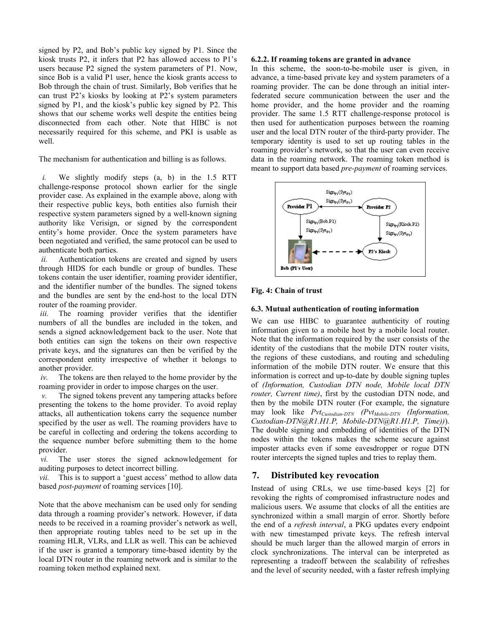signed by P2, and Bob's public key signed by P1. Since the kiosk trusts P2, it infers that P2 has allowed access to P1's users because P2 signed the system parameters of P1. Now, since Bob is a valid P1 user, hence the kiosk grants access to Bob through the chain of trust. Similarly, Bob verifies that he can trust P2's kiosks by looking at P2's system parameters signed by P1, and the kiosk's public key signed by P2. This shows that our scheme works well despite the entities being disconnected from each other. Note that HIBC is not necessarily required for this scheme, and PKI is usable as well.

The mechanism for authentication and billing is as follows.

*i.* We slightly modify steps (a, b) in the 1.5 RTT challenge-response protocol shown earlier for the single provider case. As explained in the example above, along with their respective public keys, both entities also furnish their respective system parameters signed by a well-known signing authority like Verisign, or signed by the correspondent entity's home provider. Once the system parameters have been negotiated and verified, the same protocol can be used to authenticate both parties.

*ii.* Authentication tokens are created and signed by users through HIDS for each bundle or group of bundles. These tokens contain the user identifier, roaming provider identifier, and the identifier number of the bundles. The signed tokens and the bundles are sent by the end-host to the local DTN router of the roaming provider.

*iii.* The roaming provider verifies that the identifier numbers of all the bundles are included in the token, and sends a signed acknowledgement back to the user. Note that both entities can sign the tokens on their own respective private keys, and the signatures can then be verified by the correspondent entity irrespective of whether it belongs to another provider.

*iv.* The tokens are then relayed to the home provider by the roaming provider in order to impose charges on the user.

*v.* The signed tokens prevent any tampering attacks before presenting the tokens to the home provider. To avoid replay attacks, all authentication tokens carry the sequence number specified by the user as well. The roaming providers have to be careful in collecting and ordering the tokens according to the sequence number before submitting them to the home provider.

*vi.* The user stores the signed acknowledgement for auditing purposes to detect incorrect billing.

*vii.* This is to support a 'guest access' method to allow data based *post-payment* of roaming services [10].

Note that the above mechanism can be used only for sending data through a roaming provider's network. However, if data needs to be received in a roaming provider's network as well, then appropriate routing tables need to be set up in the roaming HLR, VLRs, and LLR as well. This can be achieved if the user is granted a temporary time-based identity by the local DTN router in the roaming network and is similar to the roaming token method explained next.

#### **6.2.2. If roaming tokens are granted in advance**

In this scheme, the soon-to-be-mobile user is given, in advance, a time-based private key and system parameters of a roaming provider. The can be done through an initial interfederated secure communication between the user and the home provider, and the home provider and the roaming provider. The same 1.5 RTT challenge-response protocol is then used for authentication purposes between the roaming user and the local DTN router of the third-party provider. The temporary identity is used to set up routing tables in the roaming provider's network, so that the user can even receive data in the roaming network. The roaming token method is meant to support data based *pre-payment* of roaming services.



### **Fig. 4: Chain of trust**

#### **6.3. Mutual authentication of routing information**

We can use HIBC to guarantee authenticity of routing information given to a mobile host by a mobile local router. Note that the information required by the user consists of the identity of the custodians that the mobile DTN router visits, the regions of these custodians, and routing and scheduling information of the mobile DTN router. We ensure that this information is correct and up-to-date by double signing tuples of *(Information, Custodian DTN node, Mobile local DTN router, Current time)*, first by the custodian DTN node, and then by the mobile DTN router (For example, the signature may look like  $Pvt_{\text{Custodian-DTN}}$  (Pvt<sub>Mobile-DTN</sub> (Information, *Custodian-DTN@R1.H1.P, Mobile-DTN@R1.H1.P, Time))*). The double signing and embedding of identities of the DTN nodes within the tokens makes the scheme secure against imposter attacks even if some eavesdropper or rogue DTN router intercepts the signed tuples and tries to replay them.

## **7. Distributed key revocation**

Instead of using CRLs, we use time-based keys [2] for revoking the rights of compromised infrastructure nodes and malicious users. We assume that clocks of all the entities are synchronized within a small margin of error. Shortly before the end of a *refresh interval*, a PKG updates every endpoint with new timestamped private keys. The refresh interval should be much larger than the allowed margin of errors in clock synchronizations. The interval can be interpreted as representing a tradeoff between the scalability of refreshes and the level of security needed, with a faster refresh implying